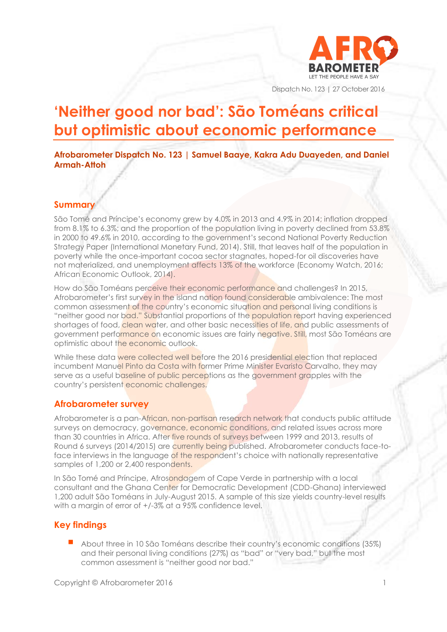

Dispatch No. 123 | 27 October 2016

# **'Neither good nor bad': São Toméans critical but optimistic about economic performance**

#### **Afrobarometer Dispatch No. 123 | Samuel Baaye, Kakra Adu Duayeden, and Daniel Armah-Attoh**

#### **Summary**

São Tomé and Príncipe's economy grew by 4.0% in 2013 and 4.9% in 2014; inflation dropped from 8.1% to 6.3%; and the proportion of the population living in poverty declined from 53.8% in 2000 to 49.6% in 2010, according to the government's second National Poverty Reduction Strategy Paper (International Monetary Fund, 2014). Still, that leaves half of the population in poverty while the once-important cocoa sector stagnates, hoped-for oil discoveries have not materialized, and unemployment affects 13% of the workforce (Economy Watch, 2016; African Economic Outlook, 2014).

How do São Toméans perceive their economic performance and challenges? In 2015, Afrobarometer's first survey in the island nation found considerable ambivalence: The most common assessment of the country's economic situation and personal living conditions is "neither good nor bad." Substantial proportions of the population report having experienced shortages of food, clean water, and other basic necessities of life, and public assessments of government performance on economic issues are fairly negative. Still, most São Toméans are optimistic about the economic outlook.

While these data were collected well before the 2016 presidential election that replaced incumbent Manuel Pinto da Costa with former Prime Minister Evaristo Carvalho, they may serve as a useful baseline of public perceptions as the government grapples with the country's persistent economic challenges.

## **Afrobarometer survey**

Afrobarometer is a pan-African, non-partisan research network that conducts public attitude surveys on democracy, governance, economic conditions, and related issues across more than 30 countries in Africa. After five rounds of surveys between 1999 and 2013, results of Round 6 surveys (2014/2015) are currently being published. Afrobarometer conducts face-toface interviews in the language of the respondent's choice with nationally representative samples of 1,200 or 2,400 respondents.

In São Tomé and Príncipe, Afrosondagem of Cape Verde in partnership with a local consultant and the Ghana Center for Democratic Development (CDD-Ghana) interviewed 1,200 adult São Toméans in July-August 2015. A sample of this size yields country-level results with a margin of error of +/-3% at a 95% confidence level.

## **Key findings**

 About three in 10 São Toméans describe their country's economic conditions (35%) and their personal living conditions (27%) as "bad" or "very bad," but the most common assessment is "neither good nor bad."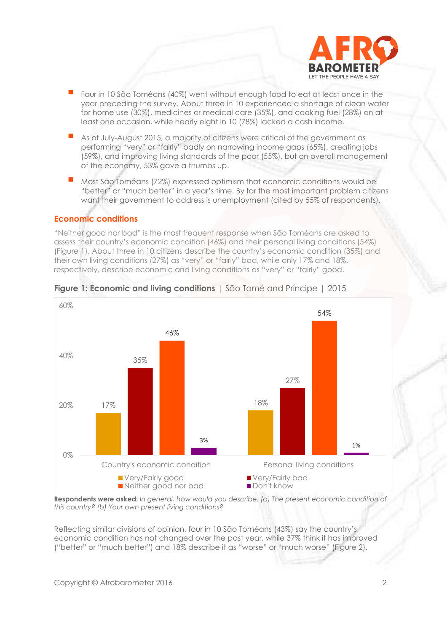

- Four in 10 São Toméans (40%) went without enough food to eat at least once in the year preceding the survey. About three in 10 experienced a shortage of clean water for home use (30%), medicines or medical care (35%), and cooking fuel (28%) on at least one occasion, while nearly eight in 10 (78%) lacked a cash income.
- As of July-August 2015, a majority of citizens were critical of the government as performing "very" or "fairly" badly on narrowing income gaps (65%), creating jobs (59%), and improving living standards of the poor (55%), but on overall management of the economy, 53% gave a thumbs up.
- Most São Toméans (72%) expressed optimism that economic conditions would be "better" or "much better" in a year's time. By far the most important problem citizens want their government to address is unemployment (cited by 55% of respondents).

## **Economic conditions**

"Neither good nor bad" is the most frequent response when São Toméans are asked to assess their country's economic condition (46%) and their personal living conditions (54%) (Figure 1). About three in 10 citizens describe the country's economic condition (35%) and their own living conditions (27%) as "very" or "fairly" bad, while only 17% and 18%, respectively, describe economic and living conditions as "very" or "fairly" good.



#### **Figure 1: Economic and living conditions** | São Tomé and Príncipe | 2015

**Respondents were asked:** *In general, how would you describe: (a) The present economic condition of this country? (b) Your own present living conditions?*

Reflecting similar divisions of opinion, four in 10 São Toméans (43%) say the country's economic condition has not changed over the past year, while 37% think it has improved ("better" or "much better") and 18% describe it as "worse" or "much worse" (Figure 2).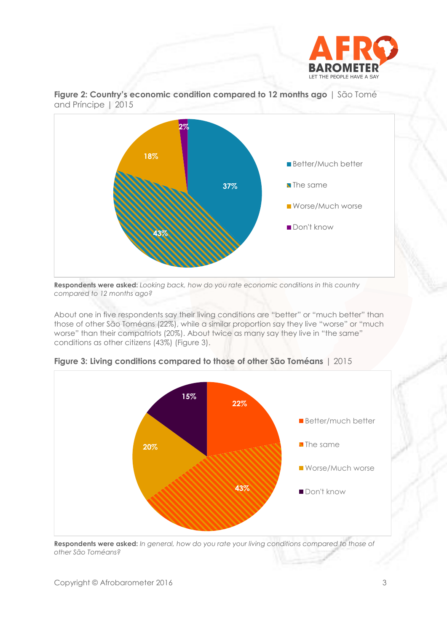



**Figure 2: Country's economic condition compared to 12 months ago** | São Tomé and Príncipe | 2015

**Respondents were asked:** *Looking back, how do you rate economic conditions in this country compared to 12 months ago?* 

About one in five respondents say their living conditions are "better" or "much better" than those of other São Toméans (22%), while a similar proportion say they live "worse" or "much worse" than their compatriots (20%). About twice as many say they live in "the same" conditions as other citizens (43%) (Figure 3).



**Figure 3: Living conditions compared to those of other São Toméans** | 2015

**Respondents were asked:** *In general, how do you rate your living conditions compared to those of other São Toméans?*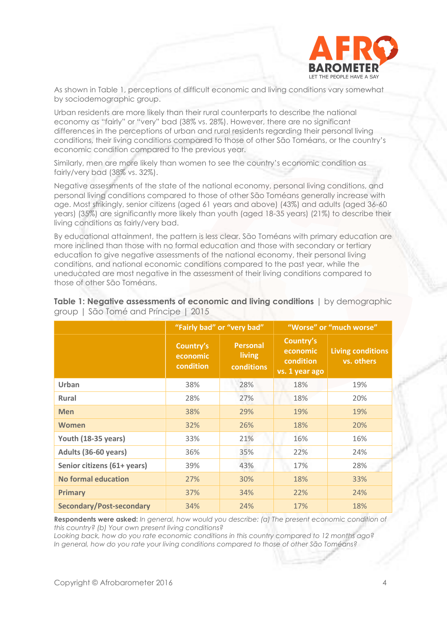

As shown in Table 1, perceptions of difficult economic and living conditions vary somewhat by sociodemographic group.

Urban residents are more likely than their rural counterparts to describe the national economy as "fairly" or "very" bad (38% vs. 28%). However, there are no significant differences in the perceptions of urban and rural residents regarding their personal living conditions, their living conditions compared to those of other São Toméans, or the country's economic condition compared to the previous year.

Similarly, men are more likely than women to see the country's economic condition as fairly/very bad (38% vs. 32%).

Negative assessments of the state of the national economy, personal living conditions, and personal living conditions compared to those of other São Toméans generally increase with age. Most strikingly, senior citizens (aged 61 years and above) (43%) and adults (aged 36-60 years) (35%) are significantly more likely than youth (aged 18-35 years) (21%) to describe their living conditions as fairly/very bad.

By educational attainment, the pattern is less clear. São Toméans with primary education are more inclined than those with no formal education and those with secondary or tertiary education to give negative assessments of the national economy, their personal living conditions, and national economic conditions compared to the past year, while the uneducated are most negative in the assessment of their living conditions compared to those of other São Toméans.

|                                 |                                    | "Fairly bad" or "very bad"              | "Worse" or "much worse"                              |                                        |  |
|---------------------------------|------------------------------------|-----------------------------------------|------------------------------------------------------|----------------------------------------|--|
|                                 | Country's<br>economic<br>condition | <b>Personal</b><br>living<br>conditions | Country's<br>economic<br>condition<br>vs. 1 year ago | <b>Living conditions</b><br>vs. others |  |
| Urban                           | 38%                                | 28%                                     | 18%                                                  | 19%                                    |  |
| <b>Rural</b>                    | 28%                                | 27%                                     | 18%                                                  | 20%                                    |  |
| <b>Men</b>                      | 38%                                | 29%                                     | 19%                                                  | 19%                                    |  |
| <b>Women</b>                    | 32%                                | 26%                                     | 18%                                                  | 20%                                    |  |
| Youth (18-35 years)             | 33%                                | 21%                                     | 16%                                                  | 16%                                    |  |
| Adults (36-60 years)            | 36%                                | 35%                                     | 22%                                                  | 24%                                    |  |
| Senior citizens (61+ years)     | 39%                                | 43%                                     | 17%                                                  | 28%                                    |  |
| <b>No formal education</b>      | 27%                                | 30%                                     | 18%                                                  | 33%                                    |  |
| <b>Primary</b>                  | 37%                                | 34%                                     | 22%                                                  | 24%                                    |  |
| <b>Secondary/Post-secondary</b> | 34%                                | 24%                                     | 17%                                                  | 18%                                    |  |

**Table 1: Negative assessments of economic and living conditions**  $\vert$  by demographic group | São Tomé and Príncipe | 2015

**Respondents were asked:** *In general, how would you describe: (a) The present economic condition of this country? (b) Your own present living conditions?*

*Looking back, how do you rate economic conditions in this country compared to 12 months ago? In general, how do you rate your living conditions compared to those of other São Toméans?*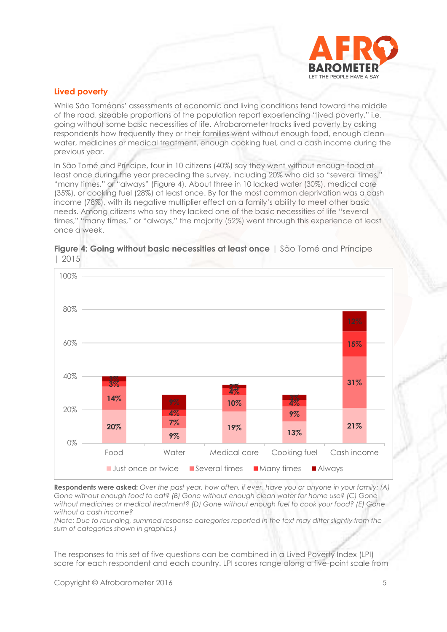

## **Lived poverty**

While São Toméans' assessments of economic and living conditions tend toward the middle of the road, sizeable proportions of the population report experiencing "lived poverty," i.e. going without some basic necessities of life. Afrobarometer tracks lived poverty by asking respondents how frequently they or their families went without enough food, enough clean water, medicines or medical treatment, enough cooking fuel, and a cash income during the previous year.

In São Tomé and Príncipe, four in 10 citizens (40%) say they went without enough food at least once during the year preceding the survey, including 20% who did so "several times," "many times," or "always" (Figure 4). About three in 10 lacked water (30%), medical care (35%), or cooking fuel (28%) at least once. By far the most common deprivation was a cash income (78%), with its negative multiplier effect on a family's ability to meet other basic needs. Among citizens who say they lacked one of the basic necessities of life "several times," "many times," or "always," the majority (52%) went through this experience at least once a week.



#### **Figure 4: Going without basic necessities at least once** | São Tomé and Príncipe | 2015

**Respondents were asked:** *Over the past year, how often, if ever, have you or anyone in your family: (A) Gone without enough food to eat? (B) Gone without enough clean water for home use? (C) Gone without medicines or medical treatment? (D) Gone without enough fuel to cook your food? (E) Gone without a cash income?*

*(Note: Due to rounding, summed response categories reported in the text may differ slightly from the sum of categories shown in graphics.)*

The responses to this set of five questions can be combined in a Lived Poverty Index (LPI) score for each respondent and each country. LPI scores range along a five-point scale from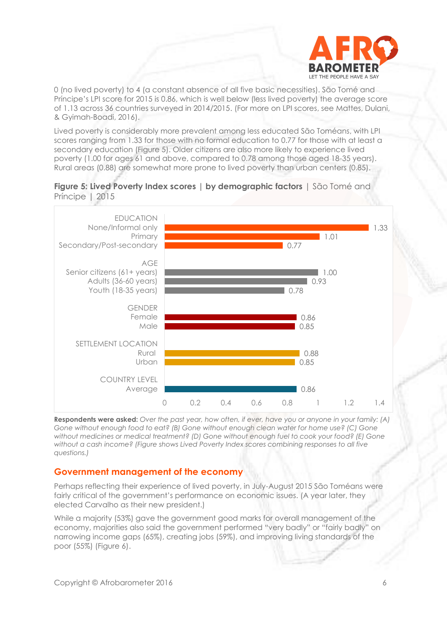

0 (no lived poverty) to 4 (a constant absence of all five basic necessities). São Tomé and Príncipe's LPI score for 2015 is 0.86, which is well below (less lived poverty) the average score of 1.13 across 36 countries surveyed in 2014/2015. (For more on LPI scores, see [Mattes, Dulani,](http://afrobarometer.org/publications/pp29-africas-growth-dividend-lived-poverty-drops-across-the-continent)  [& Gyimah-Boadi, 2016\)](http://afrobarometer.org/publications/pp29-africas-growth-dividend-lived-poverty-drops-across-the-continent).

Lived poverty is considerably more prevalent among less educated São Toméans, with LPI scores ranging from 1.33 for those with no formal education to 0.77 for those with at least a secondary education (Figure 5). Older citizens are also more likely to experience lived poverty (1.00 for ages 61 and above, compared to 0.78 among those aged 18-35 years). Rural areas (0.88) are somewhat more prone to lived poverty than urban centers (0.85).





**Respondents were asked:** *Over the past year, how often, if ever, have you or anyone in your family: (A) Gone without enough food to eat? (B) Gone without enough clean water for home use? (C) Gone without medicines or medical treatment? (D) Gone without enough fuel to cook your food? (E) Gone without a cash income? (Figure shows Lived Poverty Index scores combining responses to all five questions.)*

#### **Government management of the economy**

Perhaps reflecting their experience of lived poverty, in July-August 2015 São Toméans were fairly critical of the government's performance on economic issues. (A year later, they elected Carvalho as their new president.)

While a majority (53%) gave the government good marks for overall management of the economy, majorities also said the government performed "very badly" or "fairly badly" on narrowing income gaps (65%), creating jobs (59%), and improving living standards of the poor (55%) (Figure 6).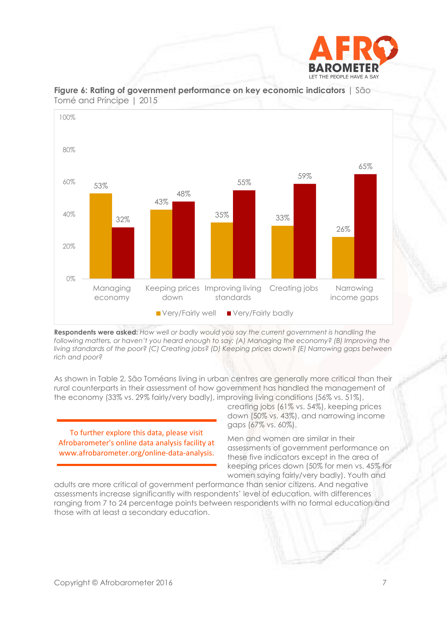



#### **Figure 6: Rating of government performance on key economic indicators** | São Tomé and Príncipe | 2015

**Respondents were asked:** *How well or badly would you say the current government is handling the following matters, or haven't you heard enough to say: (A) Managing the economy? (B) Improving the living standards of the poor? (C) Creating jobs? (D) Keeping prices down? (E) Narrowing gaps between rich and poor?*

As shown in Table 2, São Toméans living in urban centres are generally more critical than their rural counterparts in their assessment of how government has handled the management of the economy (33% vs. 29% fairly/very badly), improving living conditions (56% vs. 51%),

To further explore this data, please visit Afrobarometer's online data analysis facility at www.afrobarometer.org/online-data-analysis. creating jobs (61% vs. 54%), keeping prices down (50% vs. 43%), and narrowing income gaps (67% vs. 60%).

Men and women are similar in their assessments of government performance on these five indicators except in the area of keeping prices down (50% for men vs. 45% for women saying fairly/very badly). Youth and

adults are more critical of government performance than senior citizens. And negative assessments increase significantly with respondents' level of education, with differences ranging from 7 to 24 percentage points between respondents with no formal education and those with at least a secondary education.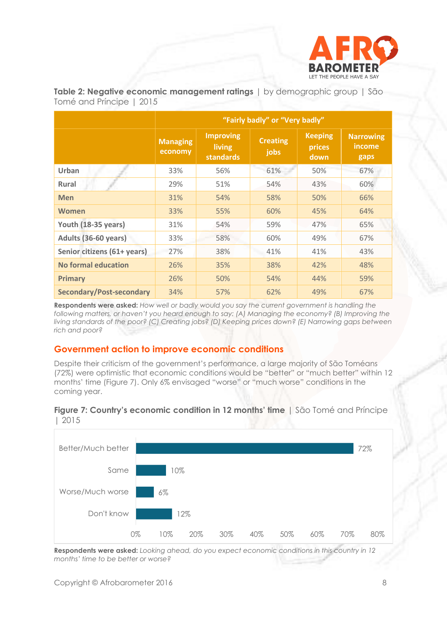

|                                 | "Fairly badly" or "Very badly" |                                                |                         |                                  |                                    |  |  |
|---------------------------------|--------------------------------|------------------------------------------------|-------------------------|----------------------------------|------------------------------------|--|--|
|                                 | <b>Managing</b><br>economy     | <b>Improving</b><br>living<br><b>standards</b> | <b>Creating</b><br>jobs | <b>Keeping</b><br>prices<br>down | <b>Narrowing</b><br>income<br>gaps |  |  |
| Urban                           | 33%                            | 56%                                            | 61%                     | 50%                              | 67%                                |  |  |
| <b>Rural</b>                    | 29%                            | 51%                                            | 54%                     | 43%                              | 60%                                |  |  |
| <b>Men</b>                      | 31%                            | 54%                                            | 58%                     | 50%                              | 66%                                |  |  |
| Women                           | 33%                            | 55%                                            | 60%                     | 45%                              | 64%                                |  |  |
| Youth (18-35 years)             | 31%                            | 54%                                            | 59%                     | 47%                              | 65%                                |  |  |
| Adults (36-60 years)            | 33%                            | 58%                                            | 60%                     | 49%                              | 67%                                |  |  |
| Senior citizens (61+ years)     | 27%                            | 38%                                            | 41%                     | 41%                              | 43%                                |  |  |
| No formal education             | 26%                            | 35%                                            | 38%                     | 42%                              | 48%                                |  |  |
| <b>Primary</b>                  | 26%                            | 50%                                            | 54%                     | 44%                              | 59%                                |  |  |
| <b>Secondary/Post-secondary</b> | 34%                            | 57%                                            | 62%                     | 49%                              | 67%                                |  |  |

**Table 2: Negative economic management ratings** | by demographic group | São Tomé and Príncipe | 2015

**Respondents were asked:** *How well or badly would you say the current government is handling the following matters, or haven't you heard enough to say: (A) Managing the economy? (B) Improving the living standards of the poor? (C) Creating jobs? (D) Keeping prices down? (E) Narrowing gaps between rich and poor?*

# **Government action to improve economic conditions**

Despite their criticism of the government's performance, a large majority of São Toméans (72%) were optimistic that economic conditions would be "better" or "much better" within 12 months' time (Figure 7). Only 6% envisaged "worse" or "much worse" conditions in the coming year.



**Figure 7: Country's economic condition in 12 months' time** | São Tomé and Príncipe | 2015

**Respondents were asked:** *Looking ahead, do you expect economic conditions in this country in 12 months' time to be better or worse?*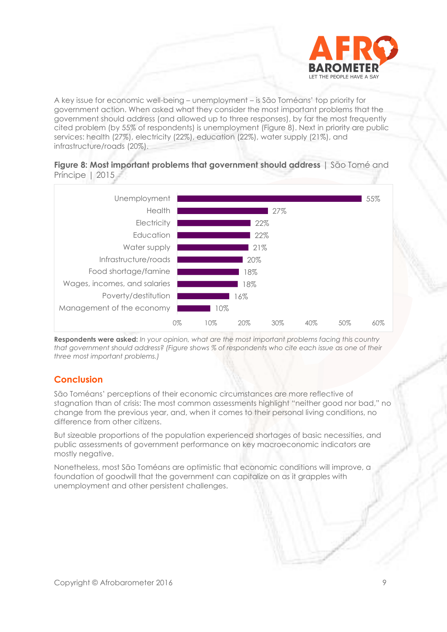

A key issue for economic well-being – unemployment – is São Toméans' top priority for government action. When asked what they consider the most important problems that the government should address (and allowed up to three responses), by far the most frequently cited problem (by 55% of respondents) is unemployment (Figure 8). Next in priority are public services: health (27%), electricity (22%), education (22%), water supply (21%), and infrastructure/roads (20%).





**Respondents were asked:** *In your opinion, what are the most important problems facing this country that government should address? (Figure shows % of respondents who cite each issue as one of their three most important problems.)*

# **Conclusion**

São Toméans' perceptions of their economic circumstances are more reflective of stagnation than of crisis: The most common assessments highlight "neither good nor bad," no change from the previous year, and, when it comes to their personal living conditions, no difference from other citizens.

But sizeable proportions of the population experienced shortages of basic necessities, and public assessments of government performance on key macroeconomic indicators are mostly negative.

Nonetheless, most São Toméans are optimistic that economic conditions will improve, a foundation of goodwill that the government can capitalize on as it grapples with unemployment and other persistent challenges.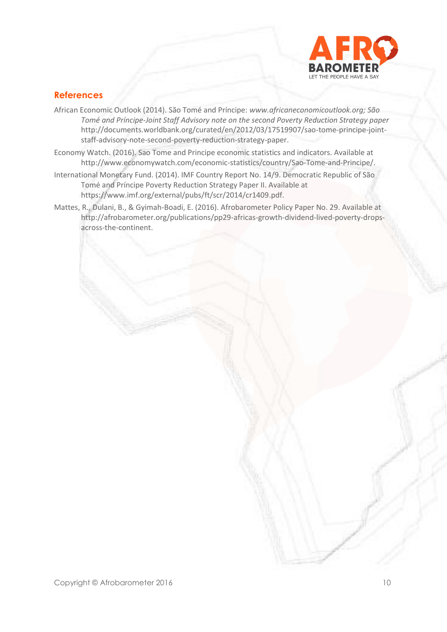

# **References**

- African Economic Outlook (2014). São Tomé and Príncipe: *[www.africaneconomicoutlook.org;](http://www.africaneconomicoutlook.org/) São Tomé and Príncipe-Joint Staff Advisory note on the second Poverty Reduction Strategy paper* [http://documents.worldbank.org/curated/en/2012/03/17519907/sao-tome-principe-joint](http://documents.worldbank.org/curated/en/2012/03/17519907/sao-tome-principe-joint-)staff-advisory-note-second-poverty-reduction-strategy-paper.
- Economy Watch. (2016). Sao Tome and Principe economic statistics and indicators. Available at [http://www.economywatch.com/economic-statistics/country/Sao-Tome-and-Principe/.](http://www.economywatch.com/economic-statistics/country/Sao-Tome-and-Principe/)
- International Monetary Fund. (2014). IMF Country Report No. 14/9. Democratic Republic of São Tomé and Príncipe Poverty Reduction Strategy Paper II. Available at [https://www.imf.org/external/pubs/ft/scr/2014/cr1409.pdf.](https://www.imf.org/external/pubs/ft/scr/2014/cr1409.pdf)
- Mattes, R., Dulani, B., & Gyimah-Boadi, E. (2016). Afrobarometer Policy Paper No. 29. Available at http://afrobarometer.org/publications/pp29-africas-growth-dividend-lived-poverty-dropsacross-the-continent.